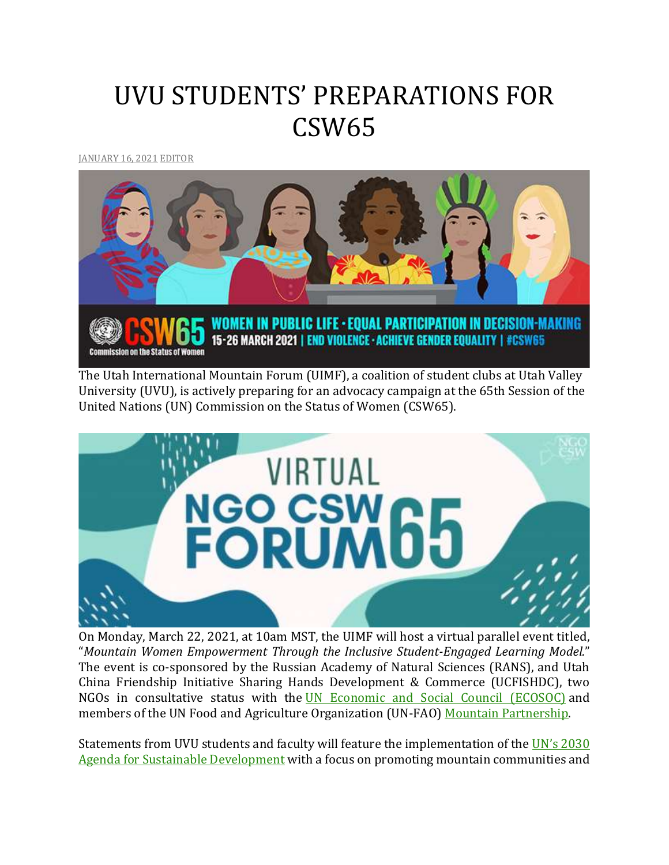## UVU STUDENTS' PREPARATIONS FOR CSW65

[JANUARY](http://utahimf.org/archives/5863) 16, 2021 [EDITOR](http://utahimf.org/archives/author/editor)



The Utah International Mountain Forum (UIMF), a coalition of student clubs at Utah Valley University (UVU), is actively preparing for an advocacy campaign at the 65th Session of the United Nations (UN) Commission on the Status of Women (CSW65).



On Monday, March 22, 2021, at 10am MST, the UIMF will host a virtual parallel event titled, "*Mountain Women Empowerment Through the Inclusive Student-Engaged Learning Model.*" The event is co-sponsored by the Russian Academy of Natural Sciences (RANS), and Utah China Friendship Initiative Sharing Hands Development & Commerce (UCFISHDC), two NGOs in consultative status with the UN Economic and Social Council [\(ECOSOC\)](https://www.un.org/ecosoc/en/home) and members of the UN Food and Agriculture Organization (UN-FAO) Mountain [Partnership.](http://www.fao.org/mountain-partnership/en/)

Statements from UVU students and faculty will feature the implementation of the UN's [2030](https://www.un.org/ga/search/view_doc.asp?symbol=A/RES/70/1&Lang=E) Agenda for Sustainable [Development](https://www.un.org/ga/search/view_doc.asp?symbol=A/RES/70/1&Lang=E) with a focus on promoting mountain communities and